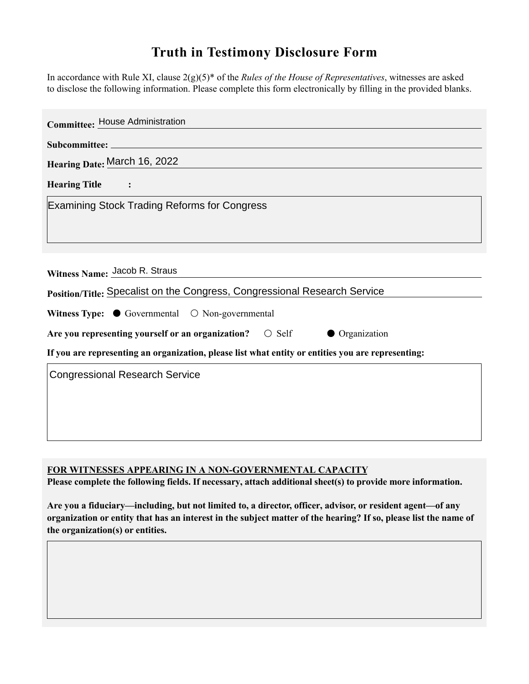## **Truth in Testimony Disclosure Form**

In accordance with Rule XI, clause 2(g)(5)\* of the *Rules of the House of Representatives*, witnesses are asked to disclose the following information. Please complete this form electronically by filling in the provided blanks.

| <b>Committee: House Administration</b>                                                             |
|----------------------------------------------------------------------------------------------------|
|                                                                                                    |
| Hearing Date: March 16, 2022                                                                       |
| Hearing Title :                                                                                    |
| <b>Examining Stock Trading Reforms for Congress</b>                                                |
|                                                                                                    |
|                                                                                                    |
| Witness Name: Jacob R. Straus                                                                      |
| Position/Title: Specalist on the Congress, Congressional Research Service                          |
| Witness Type: $\bullet$ Governmental $\circ$ Non-governmental                                      |
| Are you representing yourself or an organization? $\circ$ Self<br>• Organization                   |
| If you are representing an organization, please list what entity or entities you are representing: |
| <b>Congressional Research Service</b>                                                              |
|                                                                                                    |
|                                                                                                    |
|                                                                                                    |

**FOR WITNESSES APPEARING IN A NON-GOVERNMENTAL CAPACITY**

**Please complete the following fields. If necessary, attach additional sheet(s) to provide more information.**

**Are you a fiduciary—including, but not limited to, a director, officer, advisor, or resident agent—of any organization or entity that has an interest in the subject matter of the hearing? If so, please list the name of the organization(s) or entities.**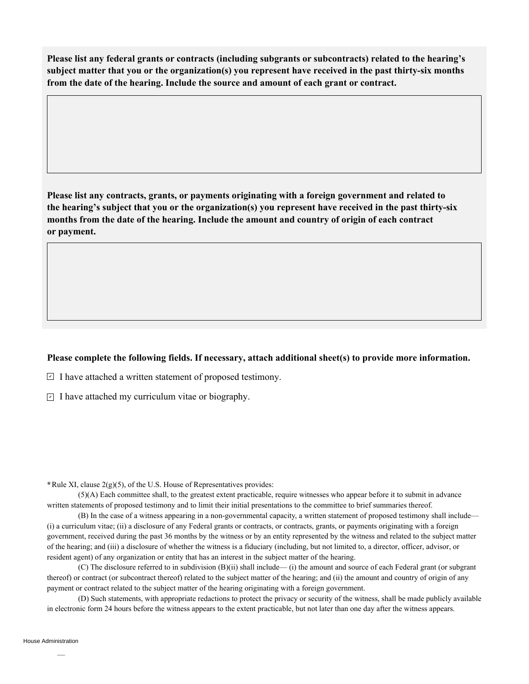**Please list any federal grants or contracts (including subgrants or subcontracts) related to the hearing's subject matter that you or the organization(s) you represent have received in the past thirty-six months from the date of the hearing. Include the source and amount of each grant or contract.** 

**Please list any contracts, grants, or payments originating with a foreign government and related to the hearing's subject that you or the organization(s) you represent have received in the past thirty-six months from the date of the hearing. Include the amount and country of origin of each contract or payment.** 

## **Please complete the following fields. If necessary, attach additional sheet(s) to provide more information.**

 $\exists$  I have attached a written statement of proposed testimony.

 $\subseteq$  I have attached my curriculum vitae or biography.

**\***Rule XI, clause 2(g)(5), of the U.S. House of Representatives provides:

(5)(A) Each committee shall, to the greatest extent practicable, require witnesses who appear before it to submit in advance written statements of proposed testimony and to limit their initial presentations to the committee to brief summaries thereof.

(B) In the case of a witness appearing in a non-governmental capacity, a written statement of proposed testimony shall include— (i) a curriculum vitae; (ii) a disclosure of any Federal grants or contracts, or contracts, grants, or payments originating with a foreign government, received during the past 36 months by the witness or by an entity represented by the witness and related to the subject matter of the hearing; and (iii) a disclosure of whether the witness is a fiduciary (including, but not limited to, a director, officer, advisor, or resident agent) of any organization or entity that has an interest in the subject matter of the hearing.

(C) The disclosure referred to in subdivision (B)(ii) shall include— (i) the amount and source of each Federal grant (or subgrant thereof) or contract (or subcontract thereof) related to the subject matter of the hearing; and (ii) the amount and country of origin of any payment or contract related to the subject matter of the hearing originating with a foreign government.

(D) Such statements, with appropriate redactions to protect the privacy or security of the witness, shall be made publicly available in electronic form 24 hours before the witness appears to the extent practicable, but not later than one day after the witness appears.